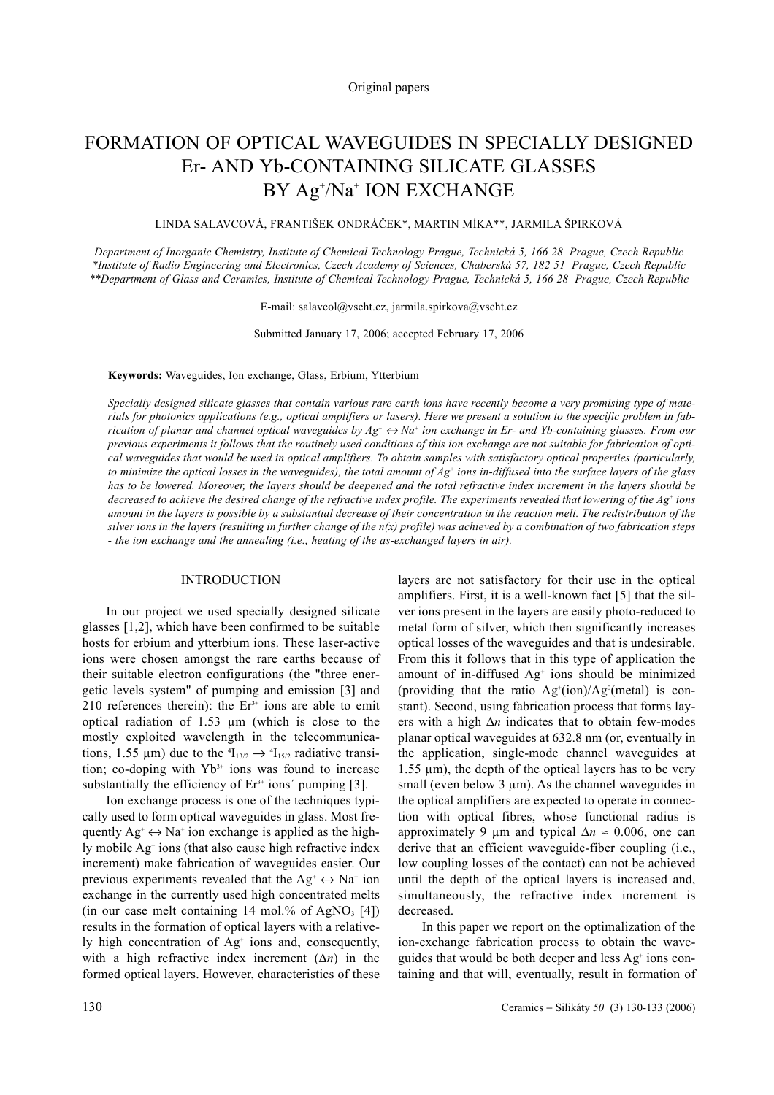# FORMATION OF OPTICAL WAVEGUIDES IN SPECIALLY DESIGNED Er- AND Yb-CONTAINING SILICATE GLASSES BY Ag+ /Na+ ION EXCHANGE

LINDA SALAVCOVÁ, FRANTIŠEK ONDRÁÈEK\*, MARTIN MÍKA\*\*, JARMILA ŠPIRKOVÁ

*Department of Inorganic Chemistry, Institute of Chemical Technology Prague, Technická 5, 166 28 Prague, Czech Republic \*Institute of Radio Engineering and Electronics, Czech Academy of Sciences, Chaberská 57, 182 51 Prague, Czech Republic \*\*Department of Glass and Ceramics, Institute of Chemical Technology Prague, Technická 5, 166 28 Prague, Czech Republic*

E-mail: salavcol@vscht.cz, jarmila.spirkova@vscht.cz

Submitted January 17, 2006; accepted February 17, 2006

# **Keywords:** Waveguides, Ion exchange, Glass, Erbium, Ytterbium

*Specially designed silicate glasses that contain various rare earth ions have recently become a very promising type of materials for photonics applications (e.g., optical amplifiers or lasers). Here we present a solution to the specific problem in fabrication of planar and channel optical waveguides by*  $Ag^+ \leftrightarrow Na^+$  *ion exchange in Er- and Yb-containing glasses. From our previous experiments it follows that the routinely used conditions of this ion exchange are not suitable for fabrication of optical waveguides that would be used in optical amplifiers. To obtain samples with satisfactory optical properties (particularly, to minimize the optical losses in the waveguides), the total amount of Ag+ ions in-diffused into the surface layers of the glass has to be lowered. Moreover, the layers should be deepened and the total refractive index increment in the layers should be decreased to achieve the desired change of the refractive index profile. The experiments revealed that lowering of the Ag+ ions amount in the layers is possible by a substantial decrease of their concentration in the reaction melt. The redistribution of the silver ions in the layers (resulting in further change of the n(x) profile) was achieved by a combination of two fabrication steps - the ion exchange and the annealing (i.e., heating of the as-exchanged layers in air).*

# INTRODUCTION

In our project we used specially designed silicate glasses [1,2], which have been confirmed to be suitable hosts for erbium and ytterbium ions. These laser-active ions were chosen amongst the rare earths because of their suitable electron configurations (the "three energetic levels system" of pumping and emission [3] and 210 references therein): the  $Er<sup>3+</sup>$  ions are able to emit optical radiation of 1.53 µm (which is close to the mostly exploited wavelength in the telecommunications, 1.55  $\mu$ m) due to the  ${}^{4}I_{13/2} \rightarrow {}^{4}I_{15/2}$  radiative transition; co-doping with  $Yb<sup>3+</sup>$  ions was found to increase substantially the efficiency of  $Er<sup>3+</sup> ions' pumping [3]$ .

Ion exchange process is one of the techniques typically used to form optical waveguides in glass. Most frequently  $Ag^* \leftrightarrow Na^*$  ion exchange is applied as the highly mobile Ag<sup>+</sup> ions (that also cause high refractive index increment) make fabrication of waveguides easier. Our previous experiments revealed that the  $Ag^* \leftrightarrow Na^*$  ion exchange in the currently used high concentrated melts (in our case melt containing 14 mol.% of AgNO<sub>3</sub> [4]) results in the formation of optical layers with a relatively high concentration of Ag<sup>+</sup> ions and, consequently, with a high refractive index increment (∆*n*) in the formed optical layers. However, characteristics of these layers are not satisfactory for their use in the optical amplifiers. First, it is a well-known fact [5] that the silver ions present in the layers are easily photo-reduced to metal form of silver, which then significantly increases optical losses of the waveguides and that is undesirable. From this it follows that in this type of application the amount of in-diffused Ag<sup>+</sup> ions should be minimized (providing that the ratio  $Ag'(ion)/Ag'(metal)$  is constant). Second, using fabrication process that forms layers with a high ∆*n* indicates that to obtain few-modes planar optical waveguides at 632.8 nm (or, eventually in the application, single-mode channel waveguides at 1.55 µm), the depth of the optical layers has to be very small (even below  $3 \mu m$ ). As the channel waveguides in the optical amplifiers are expected to operate in connection with optical fibres, whose functional radius is approximately 9 µm and typical ∆*n* ≈ 0.006, one can derive that an efficient waveguide-fiber coupling (i.e., low coupling losses of the contact) can not be achieved until the depth of the optical layers is increased and, simultaneously, the refractive index increment is decreased.

In this paper we report on the optimalization of the ion-exchange fabrication process to obtain the waveguides that would be both deeper and less  $Ag<sup>+</sup> ions con$ taining and that will, eventually, result in formation of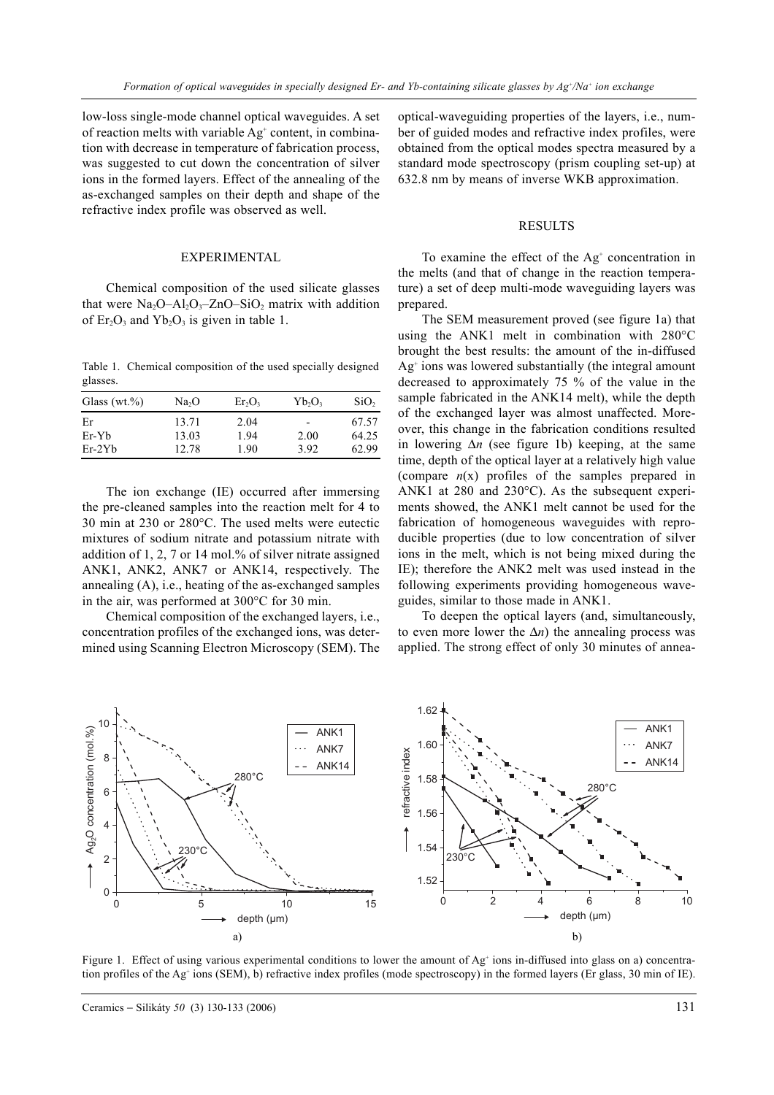low-loss single-mode channel optical waveguides. A set of reaction melts with variable Ag<sup>+</sup> content, in combination with decrease in temperature of fabrication process, was suggested to cut down the concentration of silver ions in the formed layers. Effect of the annealing of the as-exchanged samples on their depth and shape of the refractive index profile was observed as well.

## EXPERIMENTAL

Chemical composition of the used silicate glasses that were  $Na<sub>2</sub>O-Al<sub>2</sub>O<sub>3</sub> - ZnO-SiO<sub>2</sub>$  matrix with addition of  $Er_2O_3$  and  $Yb_2O_3$  is given in table 1.

Table 1. Chemical composition of the used specially designed glasses.

| Glass $(wt.\%)$ | Na <sub>2</sub> O | $Er_2O_3$ | $Yb_2O_3$                | SiO <sub>2</sub> |
|-----------------|-------------------|-----------|--------------------------|------------------|
| Er              | 13.71             | 2.04      | $\overline{\phantom{0}}$ | 67.57            |
| Er-Yb           | 13.03             | 1.94      | 2.00                     | 64.25            |
| $Er-2Yb$        | 12.78             | 1.90      | 3.92                     | 62.99            |

The ion exchange (IE) occurred after immersing the pre-cleaned samples into the reaction melt for 4 to 30 min at 230 or 280°C. The used melts were eutectic mixtures of sodium nitrate and potassium nitrate with addition of 1, 2, 7 or 14 mol.% of silver nitrate assigned ANK1, ANK2, ANK7 or ANK14, respectively. The annealing (A), i.e., heating of the as-exchanged samples in the air, was performed at 300°C for 30 min.

Chemical composition of the exchanged layers, i.e., concentration profiles of the exchanged ions, was determined using Scanning Electron Microscopy (SEM). The optical-waveguiding properties of the layers, i.e., number of guided modes and refractive index profiles, were obtained from the optical modes spectra measured by a standard mode spectroscopy (prism coupling set-up) at 632.8 nm by means of inverse WKB approximation.

# RESULTS

To examine the effect of the  $Ag<sup>+</sup>$  concentration in the melts (and that of change in the reaction temperature) a set of deep multi-mode waveguiding layers was prepared.

The SEM measurement proved (see figure 1a) that using the ANK1 melt in combination with 280°C brought the best results: the amount of the in-diffused  $Ag<sup>+</sup>$  ions was lowered substantially (the integral amount decreased to approximately 75 % of the value in the sample fabricated in the ANK14 melt), while the depth of the exchanged layer was almost unaffected. Moreover, this change in the fabrication conditions resulted in lowering ∆*n* (see figure 1b) keeping, at the same time, depth of the optical layer at a relatively high value (compare *n*(x) profiles of the samples prepared in ANK1 at 280 and 230°C). As the subsequent experiments showed, the ANK1 melt cannot be used for the fabrication of homogeneous waveguides with reproducible properties (due to low concentration of silver ions in the melt, which is not being mixed during the IE); therefore the ANK2 melt was used instead in the following experiments providing homogeneous waveguides, similar to those made in ANK1.

To deepen the optical layers (and, simultaneously, to even more lower the ∆*n*) the annealing process was applied. The strong effect of only 30 minutes of annea-



Figure 1. Effect of using various experimental conditions to lower the amount of  $Ag<sup>+</sup>$  ions in-diffused into glass on a) concentration profiles of the Ag<sup>+</sup> ions (SEM), b) refractive index profiles (mode spectroscopy) in the formed layers (Er glass, 30 min of IE).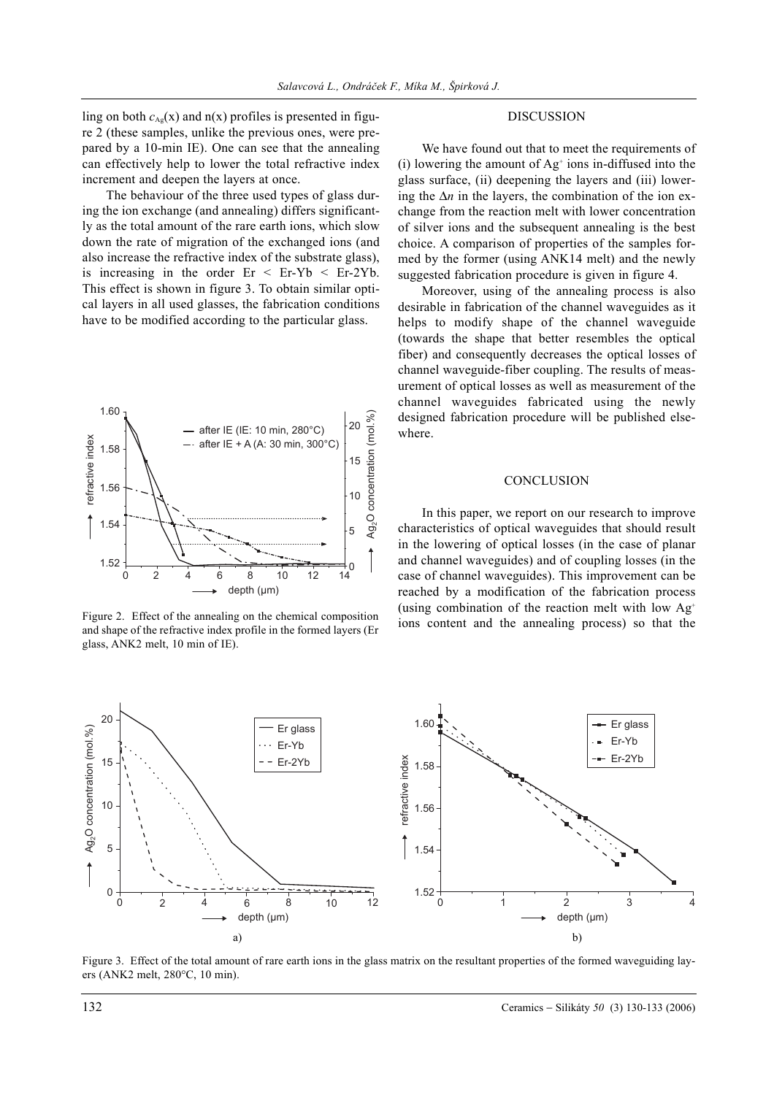ling on both  $c_{Ag}(x)$  and  $n(x)$  profiles is presented in figure 2 (these samples, unlike the previous ones, were prepared by a 10-min IE). One can see that the annealing can effectively help to lower the total refractive index increment and deepen the layers at once.

The behaviour of the three used types of glass during the ion exchange (and annealing) differs significantly as the total amount of the rare earth ions, which slow down the rate of migration of the exchanged ions (and also increase the refractive index of the substrate glass), is increasing in the order  $Er < Er-Yb < Er-2Yb$ . This effect is shown in figure 3. To obtain similar optical layers in all used glasses, the fabrication conditions have to be modified according to the particular glass.



Figure 2. Effect of the annealing on the chemical composition and shape of the refractive index profile in the formed layers (Er glass, ANK2 melt, 10 min of IE).

# DISCUSSION

We have found out that to meet the requirements of (i) lowering the amount of  $Ag<sup>+</sup>$  ions in-diffused into the glass surface, (ii) deepening the layers and (iii) lowering the ∆*n* in the layers, the combination of the ion exchange from the reaction melt with lower concentration of silver ions and the subsequent annealing is the best choice. A comparison of properties of the samples formed by the former (using ANK14 melt) and the newly suggested fabrication procedure is given in figure 4.

Moreover, using of the annealing process is also desirable in fabrication of the channel waveguides as it helps to modify shape of the channel waveguide (towards the shape that better resembles the optical fiber) and consequently decreases the optical losses of channel waveguide-fiber coupling. The results of measurement of optical losses as well as measurement of the channel waveguides fabricated using the newly designed fabrication procedure will be published elsewhere.

#### **CONCLUSION**

In this paper, we report on our research to improve characteristics of optical waveguides that should result in the lowering of optical losses (in the case of planar and channel waveguides) and of coupling losses (in the case of channel waveguides). This improvement can be reached by a modification of the fabrication process (using combination of the reaction melt with low  $Ag<sup>+</sup>$ ions content and the annealing process) so that the



Figure 3. Effect of the total amount of rare earth ions in the glass matrix on the resultant properties of the formed waveguiding layers (ANK2 melt, 280°C, 10 min).